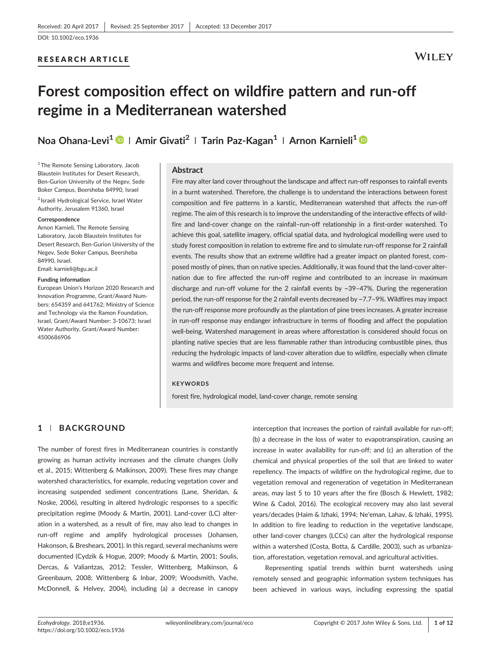#### RESEARCH ARTICLE

# **WILEY**

# Forest composition effect on wildfire pattern and run‐off regime in a Mediterranean watershed

Noa Ohana-Levi<sup>1</sup> <sup>●</sup> | Amir Givati<sup>2</sup> | Tarin Paz-Kagan<sup>1</sup> | Arnon Karnieli<sup>1</sup> ●

<sup>1</sup>The Remote Sensing Laboratory, Jacob Blaustein Institutes for Desert Research, Ben‐Gurion University of the Negev, Sede Boker Campus, Beersheba 84990, Israel

<sup>2</sup> Israeli Hydrological Service, Israel Water Authority, Jerusalem 91360, Israel

#### **Correspondence**

Arnon Karnieli, The Remote Sensing Laboratory, Jacob Blaustein Institutes for Desert Research, Ben‐Gurion University of the Negev, Sede Boker Campus, Beersheba 84990, Israel.

Email: [karnieli@bgu.ac.il](mailto:karnieli@bgu.ac.il)

#### Funding information

European Union's Horizon 2020 Research and Innovation Programme, Grant/Award Numbers: 654359 and 641762; Ministry of Science and Technology via the Ramon Foundation, Israel, Grant/Award Number: 3‐10673; Israel Water Authority, Grant/Award Number: 4500686906

#### Abstract

Fire may alter land cover throughout the landscape and affect run-off responses to rainfall events in a burnt watershed. Therefore, the challenge is to understand the interactions between forest composition and fire patterns in a karstic, Mediterranean watershed that affects the run‐off regime. The aim of this research is to improve the understanding of the interactive effects of wildfire and land-cover change on the rainfall-run-off relationship in a first-order watershed. To achieve this goal, satellite imagery, official spatial data, and hydrological modelling were used to study forest composition in relation to extreme fire and to simulate run‐off response for 2 rainfall events. The results show that an extreme wildfire had a greater impact on planted forest, composed mostly of pines, than on native species. Additionally, it was found that the land-cover alternation due to fire affected the run-off regime and contributed to an increase in maximum discharge and run‐off volume for the 2 rainfall events by ~39–47%. During the regeneration period, the run-off response for the 2 rainfall events decreased by ~7.7-9%. Wildfires may impact the run‐off response more profoundly as the plantation of pine trees increases. A greater increase in run‐off response may endanger infrastructure in terms of flooding and affect the population well‐being. Watershed management in areas where afforestation is considered should focus on planting native species that are less flammable rather than introducing combustible pines, thus reducing the hydrologic impacts of land‐cover alteration due to wildfire, especially when climate warms and wildfires become more frequent and intense.

#### **KEYWORDS**

forest fire, hydrological model, land‐cover change, remote sensing

## 1 | BACKGROUND

The number of forest fires in Mediterranean countries is constantly growing as human activity increases and the climate changes (Jolly et al., 2015; Wittenberg & Malkinson, 2009). These fires may change watershed characteristics, for example, reducing vegetation cover and increasing suspended sediment concentrations (Lane, Sheridan, & Noske, 2006), resulting in altered hydrologic responses to a specific precipitation regime (Moody & Martin, 2001). Land‐cover (LC) alteration in a watershed, as a result of fire, may also lead to changes in run‐off regime and amplify hydrological processes (Johansen, Hakonson, & Breshears, 2001). In this regard, several mechanisms were documented (Cydzik & Hogue, 2009; Moody & Martin, 2001; Soulis, Dercas, & Valiantzas, 2012; Tessler, Wittenberg, Malkinson, & Greenbaum, 2008; Wittenberg & Inbar, 2009; Woodsmith, Vache, McDonnell, & Helvey, 2004), including (a) a decrease in canopy

interception that increases the portion of rainfall available for run‐off; (b) a decrease in the loss of water to evapotranspiration, causing an increase in water availability for run‐off; and (c) an alteration of the chemical and physical properties of the soil that are linked to water repellency. The impacts of wildfire on the hydrological regime, due to vegetation removal and regeneration of vegetation in Mediterranean areas, may last 5 to 10 years after the fire (Bosch & Hewlett, 1982; Wine & Cadol, 2016). The ecological recovery may also last several years/decades (Haim & Izhaki, 1994; Ne'eman, Lahav, & Izhaki, 1995). In addition to fire leading to reduction in the vegetative landscape, other land‐cover changes (LCCs) can alter the hydrological response within a watershed (Costa, Botta, & Cardille, 2003), such as urbanization, afforestation, vegetation removal, and agricultural activities.

Representing spatial trends within burnt watersheds using remotely sensed and geographic information system techniques has been achieved in various ways, including expressing the spatial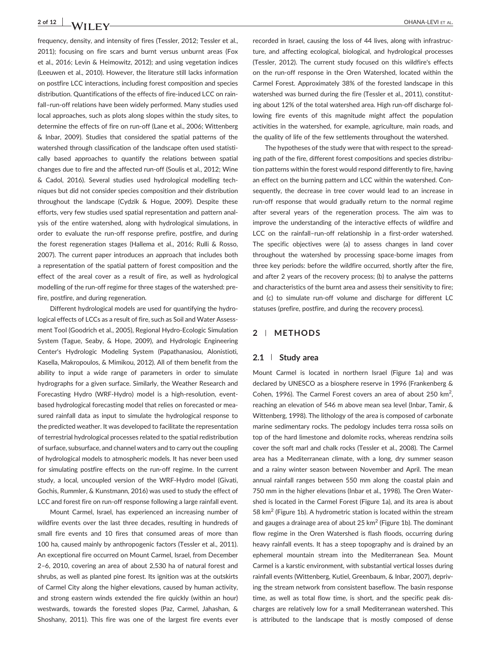frequency, density, and intensity of fires (Tessler, 2012; Tessler et al., 2011); focusing on fire scars and burnt versus unburnt areas (Fox et al., 2016; Levin & Heimowitz, 2012); and using vegetation indices (Leeuwen et al., 2010). However, the literature still lacks information on postfire LCC interactions, including forest composition and species distribution. Quantifications of the effects of fire‐induced LCC on rainfall–run‐off relations have been widely performed. Many studies used local approaches, such as plots along slopes within the study sites, to determine the effects of fire on run‐off (Lane et al., 2006; Wittenberg & Inbar, 2009). Studies that considered the spatial patterns of the watershed through classification of the landscape often used statistically based approaches to quantify the relations between spatial changes due to fire and the affected run‐off (Soulis et al., 2012; Wine & Cadol, 2016). Several studies used hydrological modelling techniques but did not consider species composition and their distribution throughout the landscape (Cydzik & Hogue, 2009). Despite these efforts, very few studies used spatial representation and pattern analysis of the entire watershed, along with hydrological simulations, in order to evaluate the run‐off response prefire, postfire, and during the forest regeneration stages (Hallema et al., 2016; Rulli & Rosso, 2007). The current paper introduces an approach that includes both a representation of the spatial pattern of forest composition and the effect of the areal cover as a result of fire, as well as hydrological modelling of the run-off regime for three stages of the watershed: prefire, postfire, and during regeneration.

Different hydrological models are used for quantifying the hydrological effects of LCCs as a result of fire, such as Soil and Water Assessment Tool (Goodrich et al., 2005), Regional Hydro‐Ecologic Simulation System (Tague, Seaby, & Hope, 2009), and Hydrologic Engineering Center's Hydrologic Modeling System (Papathanasiou, Alonistioti, Kasella, Makropoulos, & Mimikou, 2012). All of them benefit from the ability to input a wide range of parameters in order to simulate hydrographs for a given surface. Similarly, the Weather Research and Forecasting Hydro (WRF‐Hydro) model is a high‐resolution, event‐ based hydrological forecasting model that relies on forecasted or measured rainfall data as input to simulate the hydrological response to the predicted weather. It was developed to facilitate the representation of terrestrial hydrological processes related to the spatial redistribution of surface, subsurface, and channel waters and to carry out the coupling of hydrological models to atmospheric models. It has never been used for simulating postfire effects on the run-off regime. In the current study, a local, uncoupled version of the WRF‐Hydro model (Givati, Gochis, Rummler, & Kunstmann, 2016) was used to study the effect of LCC and forest fire on run-off response following a large rainfall event.

Mount Carmel, Israel, has experienced an increasing number of wildfire events over the last three decades, resulting in hundreds of small fire events and 10 fires that consumed areas of more than 100 ha, caused mainly by anthropogenic factors (Tessler et al., 2011). An exceptional fire occurred on Mount Carmel, Israel, from December 2–6, 2010, covering an area of about 2,530 ha of natural forest and shrubs, as well as planted pine forest. Its ignition was at the outskirts of Carmel City along the higher elevations, caused by human activity, and strong eastern winds extended the fire quickly (within an hour) westwards, towards the forested slopes (Paz, Carmel, Jahashan, & Shoshany, 2011). This fire was one of the largest fire events ever recorded in Israel, causing the loss of 44 lives, along with infrastructure, and affecting ecological, biological, and hydrological processes (Tessler, 2012). The current study focused on this wildfire's effects on the run‐off response in the Oren Watershed, located within the Carmel Forest. Approximately 38% of the forested landscape in this watershed was burned during the fire (Tessler et al., 2011), constituting about 12% of the total watershed area. High run‐off discharge following fire events of this magnitude might affect the population activities in the watershed, for example, agriculture, main roads, and the quality of life of the few settlements throughout the watershed.

The hypotheses of the study were that with respect to the spreading path of the fire, different forest compositions and species distribution patterns within the forest would respond differently to fire, having an effect on the burning pattern and LCC within the watershed. Consequently, the decrease in tree cover would lead to an increase in run‐off response that would gradually return to the normal regime after several years of the regeneration process. The aim was to improve the understanding of the interactive effects of wildfire and LCC on the rainfall-run-off relationship in a first-order watershed. The specific objectives were (a) to assess changes in land cover throughout the watershed by processing space‐borne images from three key periods: before the wildfire occurred, shortly after the fire, and after 2 years of the recovery process; (b) to analyse the patterns and characteristics of the burnt area and assess their sensitivity to fire; and (c) to simulate run-off volume and discharge for different LC statuses (prefire, postfire, and during the recovery process).

#### 2 | METHODS

#### 2.1 | Study area

Mount Carmel is located in northern Israel (Figure 1a) and was declared by UNESCO as a biosphere reserve in 1996 (Frankenberg & Cohen, 1996). The Carmel Forest covers an area of about 250  $km^2$ , reaching an elevation of 546 m above mean sea level (Inbar, Tamir, & Wittenberg, 1998). The lithology of the area is composed of carbonate marine sedimentary rocks. The pedology includes terra rossa soils on top of the hard limestone and dolomite rocks, whereas rendzina soils cover the soft marl and chalk rocks (Tessler et al., 2008). The Carmel area has a Mediterranean climate, with a long, dry summer season and a rainy winter season between November and April. The mean annual rainfall ranges between 550 mm along the coastal plain and 750 mm in the higher elevations (Inbar et al., 1998). The Oren Watershed is located in the Carmel Forest (Figure 1a), and its area is about 58 km<sup>2</sup> (Figure 1b). A hydrometric station is located within the stream and gauges a drainage area of about 25  $km^2$  (Figure 1b). The dominant flow regime in the Oren Watershed is flash floods, occurring during heavy rainfall events. It has a steep topography and is drained by an ephemeral mountain stream into the Mediterranean Sea. Mount Carmel is a karstic environment, with substantial vertical losses during rainfall events (Wittenberg, Kutiel, Greenbaum, & Inbar, 2007), depriving the stream network from consistent baseflow. The basin response time, as well as total flow time, is short, and the specific peak discharges are relatively low for a small Mediterranean watershed. This is attributed to the landscape that is mostly composed of dense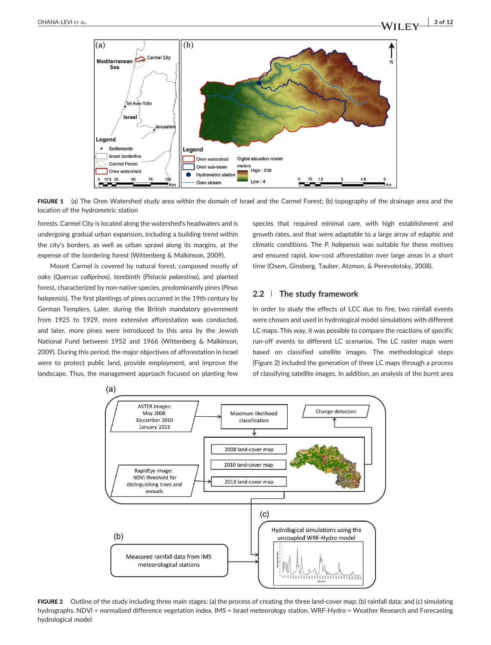

FIGURE 1 (a) The Oren Watershed study area within the domain of Israel and the Carmel Forest; (b) topography of the drainage area and the location of the hydrometric station

forests. Carmel City is located along the watershed's headwaters and is undergoing gradual urban expansion, including a building trend within the city's borders, as well as urban sprawl along its margins, at the expense of the bordering forest (Wittenberg & Malkinson, 2009).

Mount Carmel is covered by natural forest, composed mostly of oaks (Quercus calliprinos), terebinth ([Pistacia palaestina](http://en.wikipedia.org/wiki/Pistacia_palaestina)), and planted forest, characterized by non‐native species, predominantly pines (Pinus halepensis). The first plantings of pines occurred in the 19th century by German Templers. Later, during the British mandatory government from 1925 to 1929, more extensive afforestation was conducted, and later, more pines were introduced to this area by the Jewish National Fund between 1952 and 1966 (Wittenberg & Malkinson, 2009). During this period, the major objectives of afforestation in Israel were to protect public land, provide employment, and improve the landscape. Thus, the management approach focused on planting few species that required minimal care, with high establishment and growth rates, and that were adaptable to a large array of edaphic and climatic conditions. The P. halepensis was suitable for these motives and ensured rapid, low-cost afforestation over large areas in a short time (Osem, Ginsberg, Tauber, Atzmon, & Perevolotsky, 2008).

#### 2.2 | The study framework

In order to study the effects of LCC due to fire, two rainfall events were chosen and used in hydrological model simulations with different LC maps. This way, it was possible to compare the reactions of specific run-off events to different LC scenarios. The LC raster maps were based on classified satellite images. The methodological steps (Figure 2) included the generation of three LC maps through a process of classifying satellite images. In addition, an analysis of the burnt area



FIGURE 2 Outline of the study including three main stages: (a) the process of creating the three land-cover map; (b) rainfall data; and (c) simulating hydrographs. NDVI = normalized difference vegetation index. IMS = Israel meteorology station. WRF‐Hydro = Weather Research and Forecasting hydrological model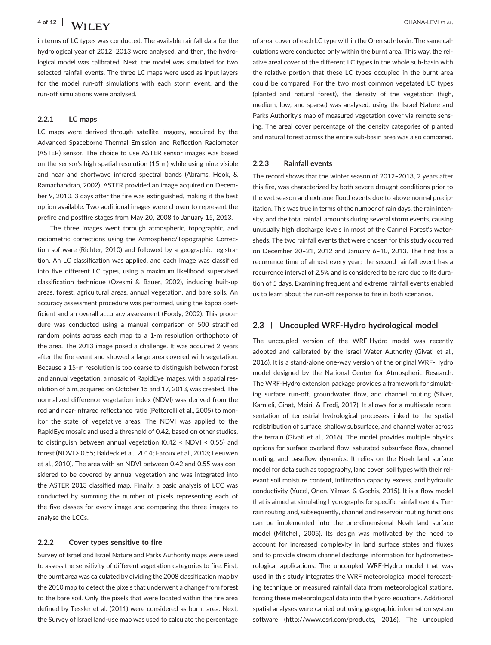4 of 12 OHANA‐LEVI ET AL.

in terms of LC types was conducted. The available rainfall data for the hydrological year of 2012–2013 were analysed, and then, the hydrological model was calibrated. Next, the model was simulated for two selected rainfall events. The three LC maps were used as input layers for the model run-off simulations with each storm event, and the run‐off simulations were analysed.

#### 2.2.1 | LC maps

LC maps were derived through satellite imagery, acquired by the Advanced Spaceborne Thermal Emission and Reflection Radiometer (ASTER) sensor. The choice to use ASTER sensor images was based on the sensor's high spatial resolution (15 m) while using nine visible and near and shortwave infrared spectral bands (Abrams, Hook, & Ramachandran, 2002). ASTER provided an image acquired on December 9, 2010, 3 days after the fire was extinguished, making it the best option available. Two additional images were chosen to represent the prefire and postfire stages from May 20, 2008 to January 15, 2013.

The three images went through atmospheric, topographic, and radiometric corrections using the Atmospheric/Topographic Correction software (Richter, 2010) and followed by a geographic registration. An LC classification was applied, and each image was classified into five different LC types, using a maximum likelihood supervised classification technique (Ozesmi & Bauer, 2002), including built‐up areas, forest, agricultural areas, annual vegetation, and bare soils. An accuracy assessment procedure was performed, using the kappa coefficient and an overall accuracy assessment (Foody, 2002). This procedure was conducted using a manual comparison of 500 stratified random points across each map to a 1-m resolution orthophoto of the area. The 2013 image posed a challenge. It was acquired 2 years after the fire event and showed a large area covered with vegetation. Because a 15‐m resolution is too coarse to distinguish between forest and annual vegetation, a mosaic of RapidEye images, with a spatial resolution of 5 m, acquired on October 15 and 17, 2013, was created. The normalized difference vegetation index (NDVI) was derived from the red and near‐infrared reflectance ratio (Pettorelli et al., 2005) to monitor the state of vegetative areas. The NDVI was applied to the RapidEye mosaic and used a threshold of 0.42, based on other studies, to distinguish between annual vegetation (0.42 < NDVI < 0.55) and forest (NDVI > 0.55; Baldeck et al., 2014; Faroux et al., 2013; Leeuwen et al., 2010). The area with an NDVI between 0.42 and 0.55 was considered to be covered by annual vegetation and was integrated into the ASTER 2013 classified map. Finally, a basic analysis of LCC was conducted by summing the number of pixels representing each of the five classes for every image and comparing the three images to analyse the LCCs.

#### 2.2.2 | Cover types sensitive to fire

Survey of Israel and Israel Nature and Parks Authority maps were used to assess the sensitivity of different vegetation categories to fire. First, the burnt area was calculated by dividing the 2008 classification map by the 2010 map to detect the pixels that underwent a change from forest to the bare soil. Only the pixels that were located within the fire area defined by Tessler et al. (2011) were considered as burnt area. Next, the Survey of Israel land‐use map was used to calculate the percentage of areal cover of each LC type within the Oren sub‐basin. The same calculations were conducted only within the burnt area. This way, the relative areal cover of the different LC types in the whole sub‐basin with the relative portion that these LC types occupied in the burnt area could be compared. For the two most common vegetated LC types (planted and natural forest), the density of the vegetation (high, medium, low, and sparse) was analysed, using the Israel Nature and Parks Authority's map of measured vegetation cover via remote sensing. The areal cover percentage of the density categories of planted and natural forest across the entire sub‐basin area was also compared.

#### 2.2.3 | Rainfall events

The record shows that the winter season of 2012–2013, 2 years after this fire, was characterized by both severe drought conditions prior to the wet season and extreme flood events due to above normal precipitation. This was true in terms of the number of rain days, the rain intensity, and the total rainfall amounts during several storm events, causing unusually high discharge levels in most of the Carmel Forest's watersheds. The two rainfall events that were chosen for this study occurred on December 20–21, 2012 and January 6–10, 2013. The first has a recurrence time of almost every year; the second rainfall event has a recurrence interval of 2.5% and is considered to be rare due to its duration of 5 days. Examining frequent and extreme rainfall events enabled us to learn about the run‐off response to fire in both scenarios.

#### 2.3 | Uncoupled WRF-Hydro hydrological model

The uncoupled version of the WRF‐Hydro model was recently adopted and calibrated by the Israel Water Authority (Givati et al., 2016). It is a stand‐alone one‐way version of the original WRF‐Hydro model designed by the National Center for Atmospheric Research. The WRF‐Hydro extension package provides a framework for simulating surface run‐off, groundwater flow, and channel routing (Silver, Karnieli, Ginat, Meiri, & Fredj, 2017). It allows for a multiscale representation of terrestrial hydrological processes linked to the spatial redistribution of surface, shallow subsurface, and channel water across the terrain (Givati et al., 2016). The model provides multiple physics options for surface overland flow, saturated subsurface flow, channel routing, and baseflow dynamics. It relies on the Noah land surface model for data such as topography, land cover, soil types with their relevant soil moisture content, infiltration capacity excess, and hydraulic conductivity (Yucel, Onen, Yilmaz, & Gochis, 2015). It is a flow model that is aimed at simulating hydrographs for specific rainfall events. Terrain routing and, subsequently, channel and reservoir routing functions can be implemented into the one‐dimensional Noah land surface model (Mitchell, 2005). Its design was motivated by the need to account for increased complexity in land surface states and fluxes and to provide stream channel discharge information for hydrometeorological applications. The uncoupled WRF‐Hydro model that was used in this study integrates the WRF meteorological model forecasting technique or measured rainfall data from meteorological stations, forcing these meteorological data into the hydro equations. Additional spatial analyses were carried out using geographic information system software (http://www.esri.com/products, 2016). The uncoupled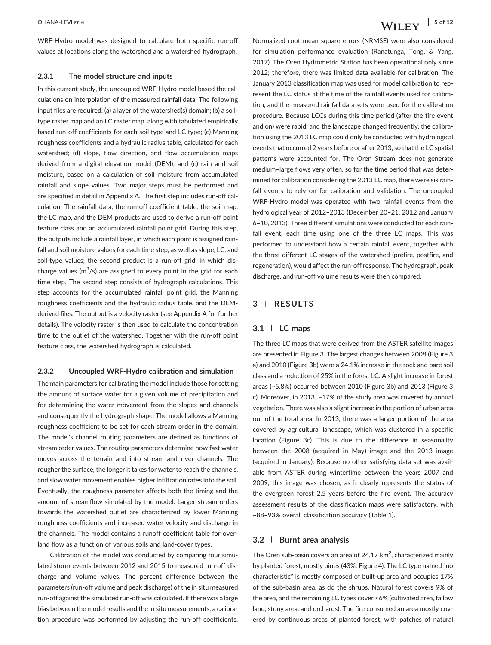WRF-Hydro model was designed to calculate both specific run-off values at locations along the watershed and a watershed hydrograph.

#### $2.3.1$  | The model structure and inputs

In this current study, the uncoupled WRF‐Hydro model based the calculations on interpolation of the measured rainfall data. The following input files are required: (a) a layer of the watershed(s) domain; (b) a soil‐ type raster map and an LC raster map, along with tabulated empirically based run‐off coefficients for each soil type and LC type; (c) Manning roughness coefficients and a hydraulic radius table, calculated for each watershed; (d) slope, flow direction, and flow accumulation maps derived from a digital elevation model (DEM); and (e) rain and soil moisture, based on a calculation of soil moisture from accumulated rainfall and slope values. Two major steps must be performed and are specified in detail in Appendix A. The first step includes run‐off calculation. The rainfall data, the run‐off coefficient table, the soil map, the LC map, and the DEM products are used to derive a run‐off point feature class and an accumulated rainfall point grid. During this step, the outputs include a rainfall layer, in which each point is assigned rainfall and soil moisture values for each time step, as well as slope, LC, and soil-type values; the second product is a run-off grid, in which discharge values ( $m^3/s$ ) are assigned to every point in the grid for each time step. The second step consists of hydrograph calculations. This step accounts for the accumulated rainfall point grid, the Manning roughness coefficients and the hydraulic radius table, and the DEM‐ derived files. The output is a velocity raster (see Appendix A for further details). The velocity raster is then used to calculate the concentration time to the outlet of the watershed. Together with the run‐off point feature class, the watershed hydrograph is calculated.

#### 2.3.2 | Uncoupled WRF‐Hydro calibration and simulation

The main parameters for calibrating the model include those for setting the amount of surface water for a given volume of precipitation and for determining the water movement from the slopes and channels and consequently the hydrograph shape. The model allows a Manning roughness coefficient to be set for each stream order in the domain. The model's channel routing parameters are defined as functions of stream order values. The routing parameters determine how fast water moves across the terrain and into stream and river channels. The rougher the surface, the longer it takes for water to reach the channels, and slow water movement enables higher infiltration rates into the soil. Eventually, the roughness parameter affects both the timing and the amount of streamflow simulated by the model. Larger stream orders towards the watershed outlet are characterized by lower Manning roughness coefficients and increased water velocity and discharge in the channels. The model contains a runoff coefficient table for overland flow as a function of various soils and land‐cover types.

Calibration of the model was conducted by comparing four simulated storm events between 2012 and 2015 to measured run‐off discharge and volume values. The percent difference between the parameters (run‐off volume and peak discharge) of the in situ measured run-off against the simulated run-off was calculated. If there was a large bias between the model results and the in situ measurements, a calibration procedure was performed by adjusting the run‐off coefficients.

OHANA‐LEVI ET AL.  $\begin{vmatrix} 5 & 6 & 12 \end{vmatrix}$ 

Normalized root mean square errors (NRMSE) were also considered for simulation performance evaluation (Ranatunga, Tong, & Yang, 2017). The Oren Hydrometric Station has been operational only since 2012; therefore, there was limited data available for calibration. The January 2013 classification map was used for model calibration to represent the LC status at the time of the rainfall events used for calibration, and the measured rainfall data sets were used for the calibration procedure. Because LCCs during this time period (after the fire event and on) were rapid, and the landscape changed frequently, the calibration using the 2013 LC map could only be conducted with hydrological events that occurred 2 years before or after 2013, so that the LC spatial patterns were accounted for. The Oren Stream does not generate medium–large flows very often, so for the time period that was determined for calibration considering the 2013 LC map, there were six rainfall events to rely on for calibration and validation. The uncoupled WRF-Hydro model was operated with two rainfall events from the hydrological year of 2012–2013 (December 20–21, 2012 and January 6–10, 2013). Three different simulations were conducted for each rainfall event, each time using one of the three LC maps. This was performed to understand how a certain rainfall event, together with the three different LC stages of the watershed (prefire, postfire, and regeneration), would affect the run‐off response. The hydrograph, peak discharge, and run‐off volume results were then compared.

## 3 | RESULTS

#### 3.1 | LC maps

The three LC maps that were derived from the ASTER satellite images are presented in Figure 3. The largest changes between 2008 (Figure 3 a) and 2010 (Figure 3b) were a 24.1% increase in the rock and bare soil class and a reduction of 25% in the forest LC. A slight increase in forest areas (~5.8%) occurred between 2010 (Figure 3b) and 2013 (Figure 3 c). Moreover, in 2013, ~17% of the study area was covered by annual vegetation. There was also a slight increase in the portion of urban area out of the total area. In 2013, there was a larger portion of the area covered by agricultural landscape, which was clustered in a specific location (Figure 3c). This is due to the difference in seasonality between the 2008 (acquired in May) image and the 2013 image (acquired in January). Because no other satisfying data set was available from ASTER during wintertime between the years 2007 and 2009, this image was chosen, as it clearly represents the status of the evergreen forest 2.5 years before the fire event. The accuracy assessment results of the classification maps were satisfactory, with ~88–93% overall classification accuracy (Table 1).

#### 3.2 | Burnt area analysis

The Oren sub-basin covers an area of  $24.17 \text{ km}^2$ , characterized mainly by planted forest, mostly pines (43%; Figure 4). The LC type named "no characteristic" is mostly composed of built‐up area and occupies 17% of the sub‐basin area, as do the shrubs. Natural forest covers 9% of the area, and the remaining LC types cover <6% (cultivated area, fallow land, stony area, and orchards). The fire consumed an area mostly covered by continuous areas of planted forest, with patches of natural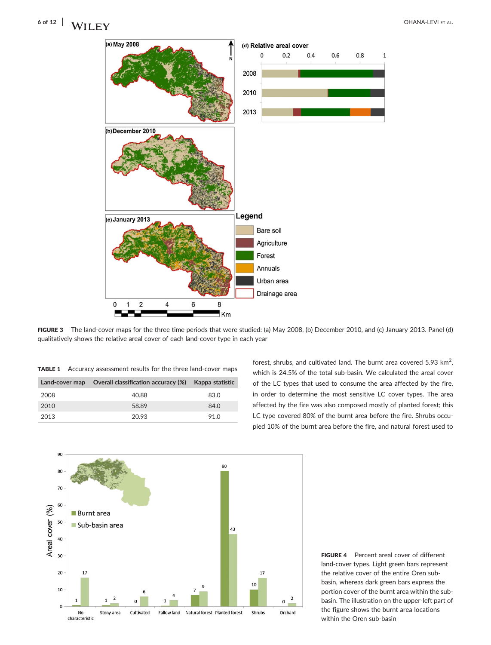# 6 of 12 NATURAL EVIET AL. AND THE SECOND OF SECOND ASSESSMENT OF A LEVIET AL.

 $\mathbf{1}$ 



FIGURE 3 The land‐cover maps for the three time periods that were studied: (a) May 2008, (b) December 2010, and (c) January 2013. Panel (d) qualitatively shows the relative areal cover of each land‐cover type in each year

| <b>TABLE 1</b> Accuracy assessment results for the three land-cover maps |  |
|--------------------------------------------------------------------------|--|
|--------------------------------------------------------------------------|--|

| Land-cover map | Overall classification accuracy (%) Kappa statistic |      |
|----------------|-----------------------------------------------------|------|
| 2008           | 40.88                                               | 83.0 |
| 2010           | 58.89                                               | 84.0 |
| 2013           | 20.93                                               | 91.0 |

forest, shrubs, and cultivated land. The burnt area covered 5.93  $\text{km}^2$ , which is 24.5% of the total sub-basin. We calculated the areal cover of the LC types that used to consume the area affected by the fire, in order to determine the most sensitive LC cover types. The area affected by the fire was also composed mostly of planted forest; this LC type covered 80% of the burnt area before the fire. Shrubs occupied 10% of the burnt area before the fire, and natural forest used to



FIGURE 4 Percent areal cover of different land‐cover types. Light green bars represent the relative cover of the entire Oren sub‐ basin, whereas dark green bars express the portion cover of the burnt area within the sub‐ basin. The illustration on the upper‐left part of the figure shows the burnt area locations within the Oren sub‐basin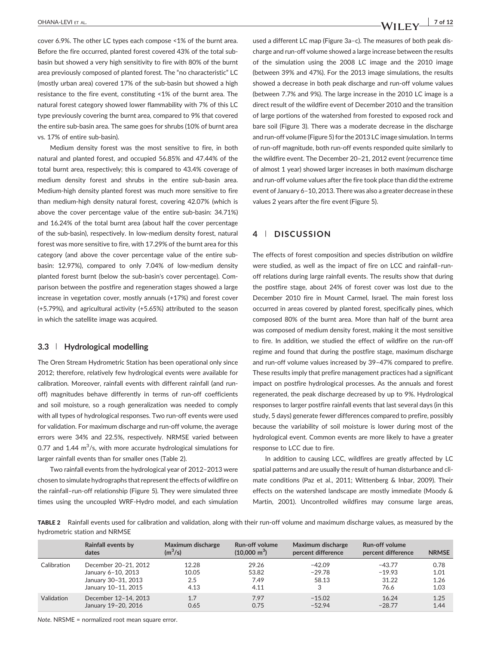cover 6.9%. The other LC types each compose <1% of the burnt area. Before the fire occurred, planted forest covered 43% of the total sub‐ basin but showed a very high sensitivity to fire with 80% of the burnt area previously composed of planted forest. The "no characteristic" LC (mostly urban area) covered 17% of the sub‐basin but showed a high resistance to the fire event, constituting <1% of the burnt area. The natural forest category showed lower flammability with 7% of this LC type previously covering the burnt area, compared to 9% that covered the entire sub‐basin area. The same goes for shrubs (10% of burnt area vs. 17% of entire sub‐basin).

Medium density forest was the most sensitive to fire, in both natural and planted forest, and occupied 56.85% and 47.44% of the total burnt area, respectively; this is compared to 43.4% coverage of medium density forest and shrubs in the entire sub‐basin area. Medium‐high density planted forest was much more sensitive to fire than medium‐high density natural forest, covering 42.07% (which is above the cover percentage value of the entire sub‐basin: 34.71%) and 16.24% of the total burnt area (about half the cover percentage of the sub‐basin), respectively. In low‐medium density forest, natural forest was more sensitive to fire, with 17.29% of the burnt area for this category (and above the cover percentage value of the entire sub‐ basin: 12.97%), compared to only 7.04% of low-medium density planted forest burnt (below the sub‐basin's cover percentage). Comparison between the postfire and regeneration stages showed a large increase in vegetation cover, mostly annuals (+17%) and forest cover (+5.79%), and agricultural activity (+5.65%) attributed to the season in which the satellite image was acquired.

#### 3.3 | Hydrological modelling

The Oren Stream Hydrometric Station has been operational only since 2012; therefore, relatively few hydrological events were available for calibration. Moreover, rainfall events with different rainfall (and run‐ off) magnitudes behave differently in terms of run-off coefficients and soil moisture, so a rough generalization was needed to comply with all types of hydrological responses. Two run‐off events were used for validation. For maximum discharge and run‐off volume, the average errors were 34% and 22.5%, respectively. NRMSE varied between 0.77 and 1.44  $\mathrm{m}^3$ /s, with more accurate hydrological simulations for larger rainfall events than for smaller ones (Table 2).

Two rainfall events from the hydrological year of 2012–2013 were chosen to simulate hydrographs that represent the effects of wildfire on the rainfall–run‐off relationship (Figure 5). They were simulated three times using the uncoupled WRF‐Hydro model, and each simulation used a different LC map (Figure 3a–c). The measures of both peak discharge and run‐off volume showed a large increase between the results of the simulation using the 2008 LC image and the 2010 image (between 39% and 47%). For the 2013 image simulations, the results showed a decrease in both peak discharge and run‐off volume values (between 7.7% and 9%). The large increase in the 2010 LC image is a direct result of the wildfire event of December 2010 and the transition of large portions of the watershed from forested to exposed rock and bare soil (Figure 3). There was a moderate decrease in the discharge and run‐off volume (Figure 5) for the 2013 LC image simulation. In terms of run‐off magnitude, both run‐off events responded quite similarly to the wildfire event. The December 20–21, 2012 event (recurrence time of almost 1 year) showed larger increases in both maximum discharge and run‐off volume values after the fire took place than did the extreme event of January 6–10, 2013. There was also a greater decrease in these values 2 years after the fire event (Figure 5).

## 4 | DISCUSSION

The effects of forest composition and species distribution on wildfire were studied, as well as the impact of fire on LCC and rainfall-runoff relations during large rainfall events. The results show that during the postfire stage, about 24% of forest cover was lost due to the December 2010 fire in Mount Carmel, Israel. The main forest loss occurred in areas covered by planted forest, specifically pines, which composed 80% of the burnt area. More than half of the burnt area was composed of medium density forest, making it the most sensitive to fire. In addition, we studied the effect of wildfire on the run‐off regime and found that during the postfire stage, maximum discharge and run-off volume values increased by 39-47% compared to prefire. These results imply that prefire management practices had a significant impact on postfire hydrological processes. As the annuals and forest regenerated, the peak discharge decreased by up to 9%. Hydrological responses to larger postfire rainfall events that last several days (in this study, 5 days) generate fewer differences compared to prefire, possibly because the variability of soil moisture is lower during most of the hydrological event. Common events are more likely to have a greater response to LCC due to fire.

In addition to causing LCC, wildfires are greatly affected by LC spatial patterns and are usually the result of human disturbance and climate conditions (Paz et al., 2011; Wittenberg & Inbar, 2009). Their effects on the watershed landscape are mostly immediate (Moody & Martin, 2001). Uncontrolled wildfires may consume large areas,

TABLE 2 Rainfall events used for calibration and validation, along with their run-off volume and maximum discharge values, as measured by the hydrometric station and NRMSE

|             | Rainfall events by<br>dates                                                              | Maximum discharge<br>$(m^3/s)$ | Run-off volume<br>$(10,000 \text{ m}^3)$ | Maximum discharge<br>percent difference | <b>Run-off volume</b><br>percent difference | <b>NRMSE</b>                 |
|-------------|------------------------------------------------------------------------------------------|--------------------------------|------------------------------------------|-----------------------------------------|---------------------------------------------|------------------------------|
| Calibration | December 20-21, 2012<br>January 6-10, 2013<br>January 30-31, 2013<br>January 10-11, 2015 | 12.28<br>10.05<br>2.5<br>4.13  | 29.26<br>53.82<br>7.49<br>4.11           | $-42.09$<br>$-29.78$<br>58.13           | $-43.77$<br>$-19.93$<br>31.22<br>76.6       | 0.78<br>1.01<br>1.26<br>1.03 |
| Validation  | December 12-14, 2013<br>January 19-20, 2016                                              | 1.7<br>0.65                    | 7.97<br>0.75                             | $-15.02$<br>$-52.94$                    | 16.24<br>$-28.77$                           | 1.25<br>1.44                 |

Note. NRSME = normalized root mean square error.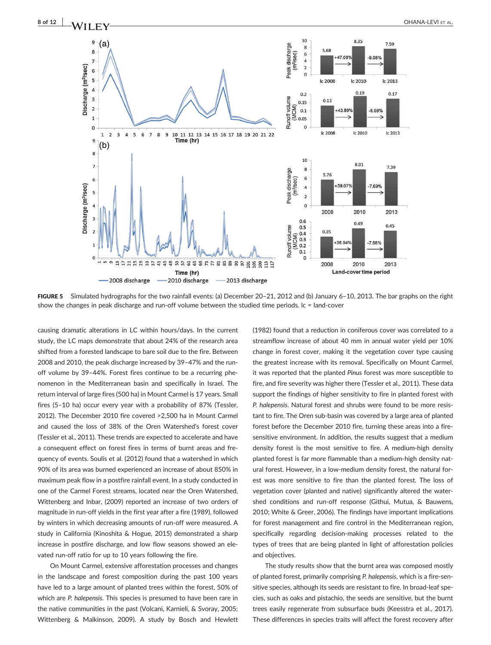

FIGURE 5 Simulated hydrographs for the two rainfall events: (a) December 20-21, 2012 and (b) January 6-10, 2013. The bar graphs on the right show the changes in peak discharge and run-off volume between the studied time periods. Ic = land-cover

causing dramatic alterations in LC within hours/days. In the current study, the LC maps demonstrate that about 24% of the research area shifted from a forested landscape to bare soil due to the fire. Between 2008 and 2010, the peak discharge increased by 39–47% and the run‐ off volume by 39–44%. Forest fires continue to be a recurring phenomenon in the Mediterranean basin and specifically in Israel. The return interval of large fires (500 ha) in Mount Carmel is 17 years. Small fires (5–10 ha) occur every year with a probability of 87% (Tessler, 2012). The December 2010 fire covered >2,500 ha in Mount Carmel and caused the loss of 38% of the Oren Watershed's forest cover (Tessler et al., 2011). These trends are expected to accelerate and have a consequent effect on forest fires in terms of burnt areas and frequency of events. Soulis et al. (2012) found that a watershed in which 90% of its area was burned experienced an increase of about 850% in maximum peak flow in a postfire rainfall event. In a study conducted in one of the Carmel Forest streams, located near the Oren Watershed, Wittenberg and Inbar, (2009) reported an increase of two orders of magnitude in run‐off yields in the first year after a fire (1989), followed by winters in which decreasing amounts of run‐off were measured. A study in California (Kinoshita & Hogue, 2015) demonstrated a sharp increase in postfire discharge, and low flow seasons showed an elevated run‐off ratio for up to 10 years following the fire.

On Mount Carmel, extensive afforestation processes and changes in the landscape and forest composition during the past 100 years have led to a large amount of planted trees within the forest, 50% of which are P. halepensis. This species is presumed to have been rare in the native communities in the past (Volcani, Karnieli, & Svoray, 2005; Wittenberg & Malkinson, 2009). A study by Bosch and Hewlett (1982) found that a reduction in coniferous cover was correlated to a streamflow increase of about 40 mm in annual water yield per 10% change in forest cover, making it the vegetation cover type causing the greatest increase with its removal. Specifically on Mount Carmel, it was reported that the planted Pinus forest was more susceptible to fire, and fire severity was higher there (Tessler et al., 2011). These data support the findings of higher sensitivity to fire in planted forest with P. halepensis. Natural forest and shrubs were found to be more resistant to fire. The Oren sub‐basin was covered by a large area of planted forest before the December 2010 fire, turning these areas into a fire‐ sensitive environment. In addition, the results suggest that a medium density forest is the most sensitive to fire. A medium‐high density planted forest is far more flammable than a medium‐high density natural forest. However, in a low-medium density forest, the natural forest was more sensitive to fire than the planted forest. The loss of vegetation cover (planted and native) significantly altered the watershed conditions and run‐off response (Githui, Mutua, & Bauwens, 2010; White & Greer, 2006). The findings have important implications for forest management and fire control in the Mediterranean region, specifically regarding decision‐making processes related to the types of trees that are being planted in light of afforestation policies and objectives.

The study results show that the burnt area was composed mostly of planted forest, primarily comprising P. halepensis, which is a fire‐sensitive species, although its seeds are resistant to fire. In broad-leaf species, such as oaks and pistachio, the seeds are sensitive, but the burnt trees easily regenerate from subsurface buds (Keesstra et al., 2017). These differences in species traits will affect the forest recovery after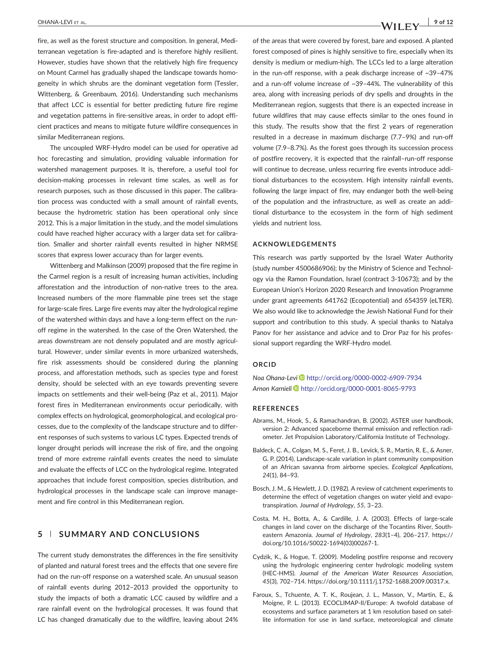fire, as well as the forest structure and composition. In general, Mediterranean vegetation is fire‐adapted and is therefore highly resilient. However, studies have shown that the relatively high fire frequency on Mount Carmel has gradually shaped the landscape towards homogeneity in which shrubs are the dominant vegetation form (Tessler, Wittenberg, & Greenbaum, 2016). Understanding such mechanisms that affect LCC is essential for better predicting future fire regime and vegetation patterns in fire-sensitive areas, in order to adopt efficient practices and means to mitigate future wildfire consequences in similar Mediterranean regions.

The uncoupled WRF‐Hydro model can be used for operative ad hoc forecasting and simulation, providing valuable information for watershed management purposes. It is, therefore, a useful tool for decision‐making processes in relevant time scales, as well as for research purposes, such as those discussed in this paper. The calibration process was conducted with a small amount of rainfall events, because the hydrometric station has been operational only since 2012. This is a major limitation in the study, and the model simulations could have reached higher accuracy with a larger data set for calibration. Smaller and shorter rainfall events resulted in higher NRMSE scores that express lower accuracy than for larger events.

Wittenberg and Malkinson (2009) proposed that the fire regime in the Carmel region is a result of increasing human activities, including afforestation and the introduction of non‐native trees to the area. Increased numbers of the more flammable pine trees set the stage for large‐scale fires. Large fire events may alter the hydrological regime of the watershed within days and have a long‐term effect on the run‐ off regime in the watershed. In the case of the Oren Watershed, the areas downstream are not densely populated and are mostly agricultural. However, under similar events in more urbanized watersheds, fire risk assessments should be considered during the planning process, and afforestation methods, such as species type and forest density, should be selected with an eye towards preventing severe impacts on settlements and their well‐being (Paz et al., 2011). Major forest fires in Mediterranean environments occur periodically, with complex effects on hydrological, geomorphological, and ecological processes, due to the complexity of the landscape structure and to different responses of such systems to various LC types. Expected trends of longer drought periods will increase the risk of fire, and the ongoing trend of more extreme rainfall events creates the need to simulate and evaluate the effects of LCC on the hydrological regime. Integrated approaches that include forest composition, species distribution, and hydrological processes in the landscape scale can improve management and fire control in this Mediterranean region.

## 5 | SUMMARY AND CONCLUSIONS

The current study demonstrates the differences in the fire sensitivity of planted and natural forest trees and the effects that one severe fire had on the run-off response on a watershed scale. An unusual season of rainfall events during 2012–2013 provided the opportunity to study the impacts of both a dramatic LCC caused by wildfire and a rare rainfall event on the hydrological processes. It was found that LC has changed dramatically due to the wildfire, leaving about 24% of the areas that were covered by forest, bare and exposed. A planted forest composed of pines is highly sensitive to fire, especially when its density is medium or medium‐high. The LCCs led to a large alteration in the run-off response, with a peak discharge increase of  $~29-47\%$ and a run‐off volume increase of ~39–44%. The vulnerability of this area, along with increasing periods of dry spells and droughts in the Mediterranean region, suggests that there is an expected increase in future wildfires that may cause effects similar to the ones found in this study. The results show that the first 2 years of regeneration resulted in a decrease in maximum discharge (7.7–9%) and run‐off volume (7.9–8.7%). As the forest goes through its succession process of postfire recovery, it is expected that the rainfall–run‐off response will continue to decrease, unless recurring fire events introduce additional disturbances to the ecosystem. High intensity rainfall events, following the large impact of fire, may endanger both the well‐being of the population and the infrastructure, as well as create an additional disturbance to the ecosystem in the form of high sediment yields and nutrient loss.

#### ACKNOWLEDGEMENTS

This research was partly supported by the Israel Water Authority (study number 4500686906); by the Ministry of Science and Technology via the Ramon Foundation, Israel (contract 3‐10673); and by the European Union's Horizon 2020 Research and Innovation Programme under grant agreements 641762 (Ecopotential) and 654359 (eLTER). We also would like to acknowledge the Jewish National Fund for their support and contribution to this study. A special thanks to Natalya Panov for her assistance and advice and to Dror Paz for his professional support regarding the WRF‐Hydro model.

## ORCID

Noa Ohana‐Levi <http://orcid.org/0000-0002-6909-7934> Arnon Karnieli D<http://orcid.org/0000-0001-8065-9793>

#### REFERENCES

- Abrams, M., Hook, S., & Ramachandran, B. (2002). ASTER user handbook, version 2: Advanced spaceborne thermal emission and reflection radiometer. Jet Propulsion Laboratory/California Institute of Technology.
- Baldeck, C. A., Colgan, M. S., Feret, J. B., Levick, S. R., Martin, R. E., & Asner, G. P. (2014). Landscape‐scale variation in plant community composition of an African savanna from airborne species. Ecological Applications, 24(1), 84–93.
- Bosch, J. M., & Hewlett, J. D. (1982). A review of catchment experiments to determine the effect of vegetation changes on water yield and evapotranspiration. Journal of Hydrology, 55, 3–23.
- Costa, M. H., Botta, A., & Cardille, J. A. (2003). Effects of large-scale changes in land cover on the discharge of the Tocantins River, Southeastern Amazonia. Journal of Hydrology, 283(1–4), 206–217. [https://](https://doi.org/10.1016/S0022-1694(03)00267-1) [doi.org/10.1016/S0022](https://doi.org/10.1016/S0022-1694(03)00267-1)‐1694(03)00267‐1.
- Cydzik, K., & Hogue, T. (2009). Modeling postfire response and recovery using the hydrologic engineering center hydrologic modeling system (HEC‐HMS). Journal of the American Water Resources Association, 45(3), 702–714. [https://doi.org/10.1111/j.1752](https://doi.org/10.1111/j.1752-1688.2009.00317.x)‐1688.2009.00317.x.
- Faroux, S., Tchuente, A. T. K., Roujean, J. L., Masson, V., Martin, E., & Moigne, P. L. (2013). ECOCLIMAP‐II/Europe: A twofold database of ecosystems and surface parameters at 1 km resolution based on satellite information for use in land surface, meteorological and climate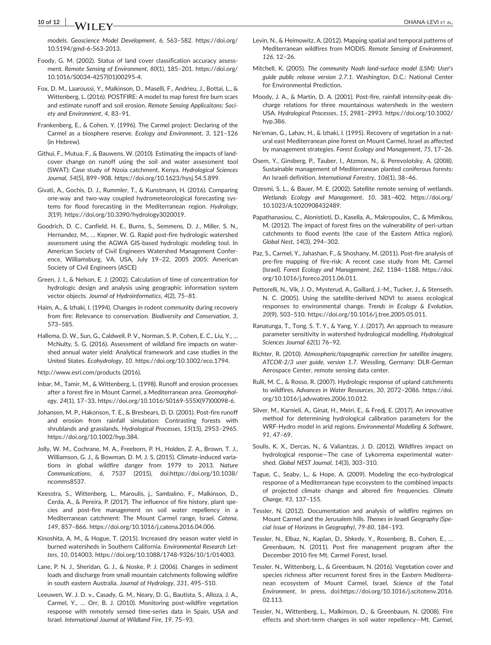## 10 of 12 OHANA‐LEVI ET AL.

models. Geoscience Model Development, 6, 563–582. [https://doi.org/](https://doi.org/10.5194/gmd-6-563-2013) [10.5194/gmd](https://doi.org/10.5194/gmd-6-563-2013)‐6‐563‐2013.

Foody, G. M. (2002). Status of land cover classification accuracy assessment. Remote Sensing of Environment, 80(1), 185–201. [https://doi.org/](https://doi.org/10.1016/S0034-4257(01)00295-4) [10.1016/S0034](https://doi.org/10.1016/S0034-4257(01)00295-4)‐4257(01)00295‐4.

Fox, D. M., Laaroussi, Y., Malkinson, D., Maselli, F., Andrieu, J., Bottai, L., & Wittenberg, L. (2016). POSTFIRE: A model to map forest fire burn scars and estimate runoff and soil erosion. Remote Sensing Applicaitons: Society and Environment, 4, 83–91.

Frankenberg, E., & Cohen, Y. (1996). The Carmel project: Declaring of the Carmel as a biosphere reserve. Ecology and Environment, 3, 121–126 (in Hebrew).

Githui, F., Mutua, F., & Bauwens, W. (2010). Estimating the impacts of land‐ cover change on runoff using the soil and water assessment tool (SWAT): Case study of Nzoia catchment, Kenya. Hydrological Sciences Journal, 54(5), 899–908.<https://doi.org/10.1623/hysj.54.5.899>.

Givati, A., Gochis, D. J., Rummler, T., & Kunstmann, H. (2016). Comparing one‐way and two‐way coupled hydrometeorological forecasting systems for flood forecasting in the Mediterranean region. Hydrology, 3(19).<https://doi.org/10.3390/hydrology3020019>.

Goodrich, D. C., Canfield, H. E., Burns, S., Semmens, D. J., Miller, S. N., Hernandez, M., ... Kepner, W. G. Rapid post-fire hydrologic watershed assessment using the AGWA GIS‐based hydrologic modeling tool. In American Society of Civil Engineers Watershed Management Conference, Williamsburg, VA, USA, July 19–22, 2005 2005: American Society of Civil Engineers (ASCE)

Green, J. I., & Nelson, E. J. (2002). Calculation of time of concentration for hydrologic design and analysis using geographic information system vector objects. Journal of Hydroinformatics, 4(2), 75–81.

Haim, A., & Izhaki, I. (1994). Changes in rodent community during recovery from fire: Relevance to conservation. Biodiversity and Conservation, 3, 573–585.

Hallema, D. W., Sun, G., Caldwell, P. V., Norman, S. P., Cohen, E. C., Liu, Y., … McNulty, S. G. (2016). Assessment of wildland fire impacts on watershed annual water yield: Analytical framework and case studies in the United States. Ecohydrology, 10. [https://doi.org/10.1002/eco.1794.](https://doi.org/10.1002/eco.1794)

http://www.esri.com/products (2016).

Inbar, M., Tamir, M., & Wittenberg, L. (1998). Runoff and erosion processes after a forest fire in Mount Carmel, a Mediterranean area. Geomorphology, 24(1), 17–33. [https://doi.org/10.1016/S0169](https://doi.org/10.1016/S0169-555X(97)00098-6)‐555X(97)00098‐6.

Johansen, M. P., Hakonson, T. E., & Breshears, D. D. (2001). Post‐fire runoff and erosion from rainfall simulation: Contrasting forests with shrublands and grasslands. Hydrological Processes, 15(15), 2953–2965. [https://doi.org/10.1002/hyp.384.](https://doi.org/10.1002/hyp.384)

Jolly, W. M., Cochrane, M. A., Freeborn, P. H., Holden, Z. A., Brown, T. J., Williamson, G. J., & Bowman, D. M. J. S. (2015). Climate‐induced variations in global wildfire danger from 1979 to 2013. Nature Communications, 6, 7537 (2015), doi[:https://doi.org/10.1038/](https://doi.org/10.1038/ncomms8537) [ncomms8537](https://doi.org/10.1038/ncomms8537).

Keesstra, S., Wittenberg, L., Maroulis, j., Sambalino, F., Malkinson, D., Cerda, A., & Pereira, P. (2017). The influence of fire history, plant species and post‐fire management on soil water repellency in a Mediterranean catchment: The Mount Carmel range, Israel. Catena, 149, 857–866. [https://doi.org/10.1016/j.catena.2016.04.006.](https://doi.org/10.1016/j.catena.2016.04.006)

Kinoshita, A. M., & Hogue, T. (2015). Increased dry season water yield in burned watersheds in Southern California. Environmental Research Letters, 10, 014003. [https://doi.org/10.1088/1748](https://doi.org/10.1088/1748-9326/10/1/014003)‐9326/10/1/014003.

Lane, P. N. J., Sheridan, G. J., & Noske, P. J. (2006). Changes in sediment loads and discharge from small mountain catchments following wildfire in south eastern Australia. Journal of Hydrology, 331, 495–510.

Leeuwen, W. J. D. v., Casady, G. M., Neary, D. G., Bautista, S., Alloza, J. A., Carmel, Y., … Orr, B. J. (2010). Monitoring post‐wildfire vegetation response with remotely sensed time‐series data in Spain, USA and Israel. International Journal of Wildland Fire, 19, 75–93.

Levin, N., & Heimowitz, A. (2012). Mapping spatial and temporal patterns of Mediterranean wildfires from MODIS. Remote Sensing of Environment, 126, 12–26.

Mitchell, K. (2005). The community Noah land‐surface model (LSM): User's guide public release version 2.7.1. Washington, D.C.: National Center for Environmental Prediction.

Moody, J. A., & Martin, D. A. (2001). Post‐fire, rainfall intensity‐peak discharge relations for three mountainous watersheds in the western USA. Hydrological Processes, 15, 2981–2993. [https://doi.org/10.1002/](https://doi.org/10.1002/hyp.386) [hyp.386](https://doi.org/10.1002/hyp.386).

Ne'eman, G., Lahav, H., & Izhaki, I. (1995). Recovery of vegetation in a natural east Mediterranean pine forest on Mount Carmel, Israel as affected by management strategies. Forest Ecology and Management, 75, 17–26.

Osem, Y., Ginsberg, P., Tauber, I., Atzmon, N., & Perevolotsky, A. (2008). Sustainable management of Mediterranean planted coniferous forests: An Israeli definition. International Forestry, 106(1), 38–46.

Ozesmi, S. L., & Bauer, M. E. (2002). Satellite remote sensing of wetlands. Wetlands Ecology and Management, 10, 381–402. [https://doi.org/](https://doi.org/10.1023/A:1020908432489) [10.1023/A:1020908432489](https://doi.org/10.1023/A:1020908432489).

Papathanasiou, C., Alonistioti, D., Kasella, A., Makropoulos, C., & Mimikou, M. (2012). The impact of forest fires on the vulnerability of peri‐urban catchments to flood events (the case of the Eastern Attica region). Global Nest, 14(3), 294–302.

Paz, S., Carmel, Y., Jahashan, F., & Shoshany, M. (2011). Post‐fire analysis of pre-fire mapping of fire-risk: A recent case study from Mt. Carmel (Israel). Forest Ecology and Management, 262, 1184–1188. [https://doi.](https://doi.org/10.1016/j.foreco.2011.06.011) [org/10.1016/j.foreco.2011.06.011](https://doi.org/10.1016/j.foreco.2011.06.011).

Pettorelli, N., Vik, J. O., Mysterud, A., Gaillard, J.‐M., Tucker, J., & Stenseth, N. C. (2005). Using the satellite‐derived NDVI to assess ecological responses to environmental change. Trends in Ecology & Evolution, 20(9), 503–510.<https://doi.org/10.1016/j.tree.2005.05.011>.

Ranatunga, T., Tong, S. T. Y., & Yang, Y. J. (2017). An approach to measure parameter sensitivity in watershed hydrological modelling. Hydrological Sciences Journal 62(1) 76–92.

Richter, R. (2010). Atmospheric/topographic correction for satellite imagery, ATCOR‐2/3 user guide, version 1.7. Wessling, Germany: DLR‐German Aerospace Center, remote sensing data center.

Rulli, M. C., & Rosso, R. (2007). Hydrologic response of upland catchments to wildfires. Advances in Water Resources, 30, 2072–2086. [https://doi.](https://doi.org/10.1016/j.advwatres.2006.10.012) [org/10.1016/j.advwatres.2006.10.012.](https://doi.org/10.1016/j.advwatres.2006.10.012)

Silver, M., Karnieli, A., Ginat, H., Meiri, E., & Fredj, E. (2017). An innovative method for determining hydrological calibration parameters for the WRF‐Hydro model in arid regions. Environmental Modelling & Software, 91, 47–69.

Soulis, K. X., Dercas, N., & Valiantzas, J. D. (2012). Wildfires impact on hydrological response—The case of Lykorrema experimental watershed. Global NEST Journal, 14(3), 303–310.

Tague, C., Seaby, L., & Hope, A. (2009). Modeling the eco‐hydrological response of a Mediterranean type ecosystem to the combined impacts of projected climate change and altered fire frequencies. Climate Change, 93, 137–155.

Tessler, N. (2012). Documentation and analysis of wildfire regimes on Mount Carmel and the Jerusalem hills. Themes in Israeli Geography (Special Issue of Horizons in Geography), 79‐80, 184–193.

Tessler, N., Elbaz, N., Kaplan, D., Shkedy, Y., Rosenberg, B., Cohen, E., … Greenbaum, N. (2011). Post fire management program after the December 2010 fire Mt. Carmel Forest, Israel.

Tessler, N., Wittenberg, L., & Greenbaum, N. (2016). Vegetation cover and species richness after recurrent forest fires in the Eastern Mediterranean ecosystem of Mount Carmel, Israel. Science of the Total Environment, In press, doi[:https://doi.org/10.1016/j.scitotenv.2016.](https://doi.org/10.1016/j.scitotenv.2016.02.113) [02.113.](https://doi.org/10.1016/j.scitotenv.2016.02.113)

Tessler, N., Wittenberg, L., Malkinson, D., & Greenbaum, N. (2008). Fire effects and short-term changes in soil water repellency-Mt. Carmel,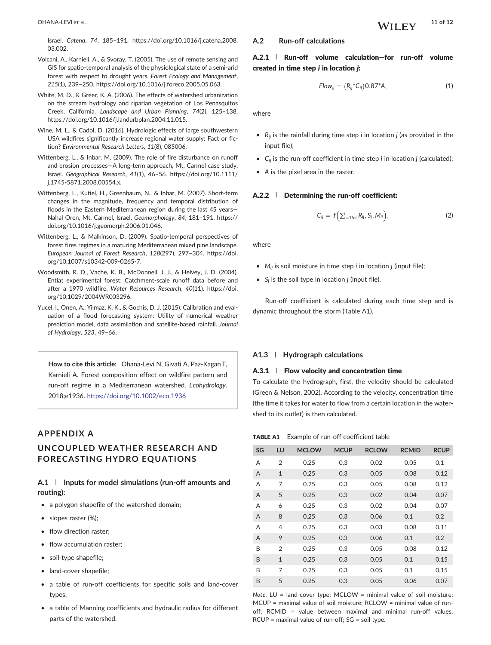- Volcani, A., Karnieli, A., & Svoray, T. (2005). The use of remote sensing and GIS for spatio‐temporal analysis of the physiological state of a semi‐arid forest with respect to drought years. Forest Ecology and Management, 215(1), 239–250.<https://doi.org/10.1016/j.foreco.2005.05.063>.
- White, M. D., & Greer, K. A. (2006). The effects of watershed urbanization on the stream hydrology and riparian vegetation of Los Penasquitos Creek, California. Landscape and Urban Planning, 74(2), 125–138. [https://doi.org/10.1016/j.landurbplan.2004.11.015.](https://doi.org/10.1016/j.landurbplan.2004.11.015)
- Wine, M. L., & Cadol, D. (2016). Hydrologic effects of large southwestern USA wildfires significantly increase regional water supply: Fact or fiction? Environmental Research Letters, 11(8), 085006.
- Wittenberg, L., & Inbar, M. (2009). The role of fire disturbance on runoff and erosion processes-A long-term approach, Mt. Carmel case study, Israel. Geographical Research, 41(1), 46–56. [https://doi.org/10.1111/](https://doi.org/10.1111/j.1745-5871.2008.00554.x) j.1745‐[5871.2008.00554.x.](https://doi.org/10.1111/j.1745-5871.2008.00554.x)
- Wittenberg, L., Kutiel, H., Greenbaum, N., & Inbar, M. (2007). Short‐term changes in the magnitude, frequency and temporal distribution of floods in the Eastern Mediterranean region during the last 45 years— Nahal Oren, Mt. Carmel, Israel. Geomorphology, 84, 181–191. [https://](https://doi.org/10.1016/j.geomorph.2006.01.046) [doi.org/10.1016/j.geomorph.2006.01.046](https://doi.org/10.1016/j.geomorph.2006.01.046).
- Wittenberg, L., & Malkinson, D. (2009). Spatio‐temporal perspectives of forest fires regimes in a maturing Mediterranean mixed pine landscape. European Journal of Forest Research, 128(297), 297–304. [https://doi.](https://doi.org/10.1007/s10342-009-0265-7) [org/10.1007/s10342](https://doi.org/10.1007/s10342-009-0265-7)‐009‐0265‐7.
- Woodsmith, R. D., Vache, K. B., McDonnell, J. J., & Helvey, J. D. (2004). Entiat experimental forest: Catchment‐scale runoff data before and after a 1970 wildfire. Water Resources Research, 40(11). [https://doi.](https://doi.org/10.1029/2004WR003296) [org/10.1029/2004WR003296.](https://doi.org/10.1029/2004WR003296)
- Yucel, I., Onen, A., Yilmaz, K. K., & Gochis, D. J. (2015). Calibration and evaluation of a flood forecasting system: Utility of numerical weather prediction model, data assimilation and satellite-based rainfall. Journal of Hydrology, 523, 49–66.

How to cite this article: Ohana-Levi N, Givati A, Paz-Kagan T, Karnieli A. Forest composition effect on wildfire pattern and run‐off regime in a Mediterranean watershed. Ecohydrology. 2018;e1936. <https://doi.org/10.1002/eco.1936>

## APPENDIX A

## UNCOUPLED WEATHER RESEARCH AND FORECASTING HYDRO EQUATIONS

## A.1 │ Inputs for model simulations (run-off amounts and routing):

- a polygon shapefile of the watershed domain;
- slopes raster (%);
- flow direction raster:
- flow accumulation raster:
- soil‐type shapefile;
- land-cover shapefile;
- a table of run-off coefficients for specific soils and land-cover types;
- a table of Manning coefficients and hydraulic radius for different parts of the watershed.

#### A.2 | Run‐off calculations

## A.2.1 | Run‐off volume calculation—for run‐off volume created in time step i in location j:

$$
Flow_{ij}=(R_{ij}^*C_{ij})0.87^*A,
$$
\n(1)

where

- $R_{ii}$  is the rainfall during time step *i* in location *j* (as provided in the input file);
- $C_{ii}$  is the run-off coefficient in time step *i* in location *j* (calculated);
- A is the pixel area in the raster.

#### A.2.2 | Determining the run-off coefficient:

$$
C_{ij} = f\left(\sum_{i=1\text{to}}^{i} R_{ij}, S_j, M_{ij}\right),\tag{2}
$$

where

- $M_{ii}$  is soil moisture in time step *i* in location *j* (input file);
- $S_i$  is the soil type in location *j* (input file).

Run‐off coefficient is calculated during each time step and is dynamic throughout the storm (Table A1).

#### A1.3 | Hydrograph calculations

#### A.3.1 | Flow velocity and concentration time

To calculate the hydrograph, first, the velocity should be calculated (Green & Nelson, 2002). According to the velocity, concentration time (the time it takes for water to flow from a certain location in the watershed to its outlet) is then calculated.

#### TABLE A1 Example of run-off coefficient table

| SG | LU             | <b>MCLOW</b> | <b>MCUP</b> | <b>RCLOW</b> | <b>RCMID</b> | <b>RCUP</b> |
|----|----------------|--------------|-------------|--------------|--------------|-------------|
| A  | $\overline{2}$ | 0.25         | 0.3         | 0.02         | 0.05         | 0.1         |
| A  | $\mathbf{1}$   | 0.25         | 0.3         | 0.05         | 0.08         | 0.12        |
| A  | 7              | 0.25         | 0.3         | 0.05         | 0.08         | 0.12        |
| A  | 5              | 0.25         | 0.3         | 0.02         | 0.04         | 0.07        |
| A  | 6              | 0.25         | 0.3         | 0.02         | 0.04         | 0.07        |
| A  | 8              | 0.25         | 0.3         | 0.06         | 0.1          | 0.2         |
| A  | $\overline{4}$ | 0.25         | 0.3         | 0.03         | 0.08         | 0.11        |
| A  | 9              | 0.25         | 0.3         | 0.06         | 0.1          | 0.2         |
| B  | $\overline{2}$ | 0.25         | 0.3         | 0.05         | 0.08         | 0.12        |
| B  | $\mathbf{1}$   | 0.25         | 0.3         | 0.05         | 0.1          | 0.15        |
| B  | 7              | 0.25         | 0.3         | 0.05         | 0.1          | 0.15        |
| B  | 5              | 0.25         | 0.3         | 0.05         | 0.06         | 0.07        |

Note. LU = land‐cover type; MCLOW = minimal value of soil moisture; MCUP = maximal value of soil moisture; RCLOW = minimal value of runoff; RCMID = value between maximal and minimal run‐off values; RCUP = maximal value of run‐off; SG = soil type.